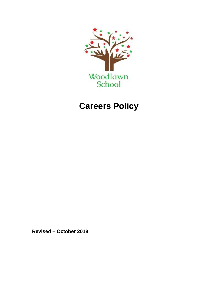

# **Careers Policy**

**Revised – October 2018**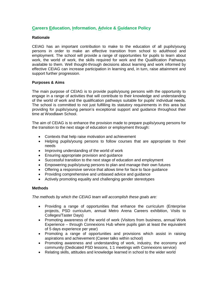## **Careers Education, Information, Advice & Guidance Policy**

#### **Rationale**

CEIAG has an important contribution to make to the education of all pupils/young persons in order to make an effective transition from school to adulthood and employment. The school will provide a range of opportunities for pupils to learn about work, the world of work, the skills required for work and the Qualification Pathways available to them. Well thought-through decisions about learning and work informed by effective CEIAG can increase participation in learning and, in turn, raise attainment and support further progression.

#### **Purposes & Aims**

The main purpose of CEIAG is to provide pupils/young persons with the opportunity to engage in a range of activities that will contribute to their knowledge and understanding of the world of work and the qualification pathways suitable for pupils' individual needs. The school is committed to not just fulfilling its statutory requirements in this area but providing for pupils/young person's exceptional support and guidance throughout their time at Woodlawn School.

The aim of CEIAG is to enhance the provision made to prepare pupils/young persons for the transition to the next stage of education or employment through:

- Contexts that help raise motivation and achievement
- Helping pupils/young persons to follow courses that are appropriate to their needs
- Improving understanding of the world of work
- Ensuring appropriate provision and guidance
- Successful transition to the next stage of education and employment
- Empowering pupils/young persons to plan and manage their own futures
- Offering a responsive service that allows time for face to face guidance
- Providing comprehensive and unbiased advice and guidance
- Actively promoting equality and challenging gender stereotypes

#### **Methods**

*The methods by which the CEIAG team will accomplish these goals are:*

- Providing a range of opportunities that enhance the curriculum (Enterprise projects, PSD curriculum, annual Metro Arena Careers exhibition, Visits to Colleges/Taster Days)
- Promoting awareness of the world of work (Visitors from business, annual Work Experience – through Connexions Hub where pupils gain at least the equivalent of 5 days experience per year)
- Promoting a range of opportunities and provisions which assist in raising aspirations and achievement (Career talks within school)
- Promoting awareness and understanding of work, industry, the economy and community (Dedicated PSD lessons, 1:1 meetings with Connexions service)
- Relating skills, attitudes and knowledge learned in school to the wider world